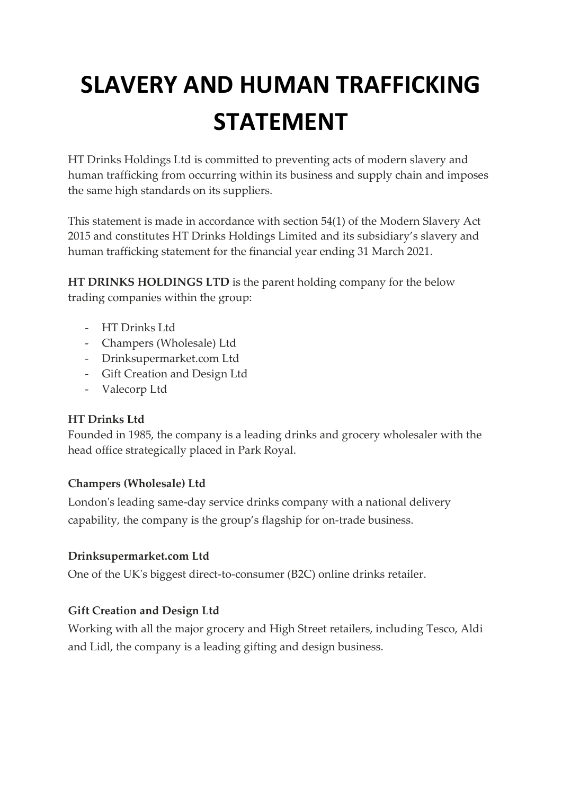# **SLAVERY AND HUMAN TRAFFICKING STATEMENT**

HT Drinks Holdings Ltd is committed to preventing acts of modern slavery and human trafficking from occurring within its business and supply chain and imposes the same high standards on its suppliers.

This statement is made in accordance with section 54(1) of the Modern Slavery Act 2015 and constitutes HT Drinks Holdings Limited and its subsidiary's slavery and human trafficking statement for the financial year ending 31 March 2021.

**HT DRINKS HOLDINGS LTD** is the parent holding company for the below trading companies within the group:

- HT Drinks Ltd
- Champers (Wholesale) Ltd
- Drinksupermarket.com Ltd
- Gift Creation and Design Ltd
- Valecorp Ltd

#### **HT Drinks Ltd**

Founded in 1985, the company is a leading drinks and grocery wholesaler with the head office strategically placed in Park Royal.

#### **Champers (Wholesale) Ltd**

London's leading same-day service drinks company with a national delivery capability, the company is the group's flagship for on-trade business.

#### **Drinksupermarket.com Ltd**

One of the UK's biggest direct-to-consumer (B2C) online drinks retailer.

### **Gift Creation and Design Ltd**

Working with all the major grocery and High Street retailers, including Tesco, Aldi and Lidl, the company is a leading gifting and design business.